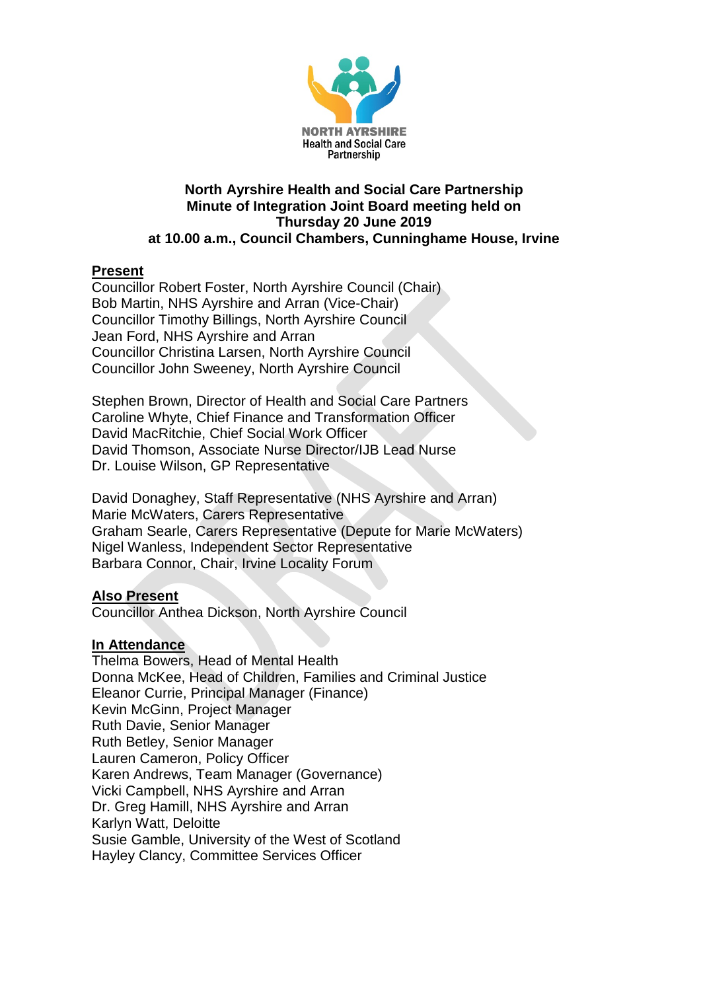

#### **North Ayrshire Health and Social Care Partnership Minute of Integration Joint Board meeting held on Thursday 20 June 2019 at 10.00 a.m., Council Chambers, Cunninghame House, Irvine**

### **Present**

Councillor Robert Foster, North Ayrshire Council (Chair) Bob Martin, NHS Ayrshire and Arran (Vice-Chair) Councillor Timothy Billings, North Ayrshire Council Jean Ford, NHS Ayrshire and Arran Councillor Christina Larsen, North Ayrshire Council Councillor John Sweeney, North Ayrshire Council

Stephen Brown, Director of Health and Social Care Partners Caroline Whyte, Chief Finance and Transformation Officer David MacRitchie, Chief Social Work Officer David Thomson, Associate Nurse Director/IJB Lead Nurse Dr. Louise Wilson, GP Representative

David Donaghey, Staff Representative (NHS Ayrshire and Arran) Marie McWaters, Carers Representative Graham Searle, Carers Representative (Depute for Marie McWaters) Nigel Wanless, Independent Sector Representative Barbara Connor, Chair, Irvine Locality Forum

#### **Also Present**

Councillor Anthea Dickson, North Ayrshire Council

#### **In Attendance**

Thelma Bowers, Head of Mental Health Donna McKee, Head of Children, Families and Criminal Justice Eleanor Currie, Principal Manager (Finance) Kevin McGinn, Project Manager Ruth Davie, Senior Manager Ruth Betley, Senior Manager Lauren Cameron, Policy Officer Karen Andrews, Team Manager (Governance) Vicki Campbell, NHS Ayrshire and Arran Dr. Greg Hamill, NHS Ayrshire and Arran Karlyn Watt, Deloitte Susie Gamble, University of the West of Scotland Hayley Clancy, Committee Services Officer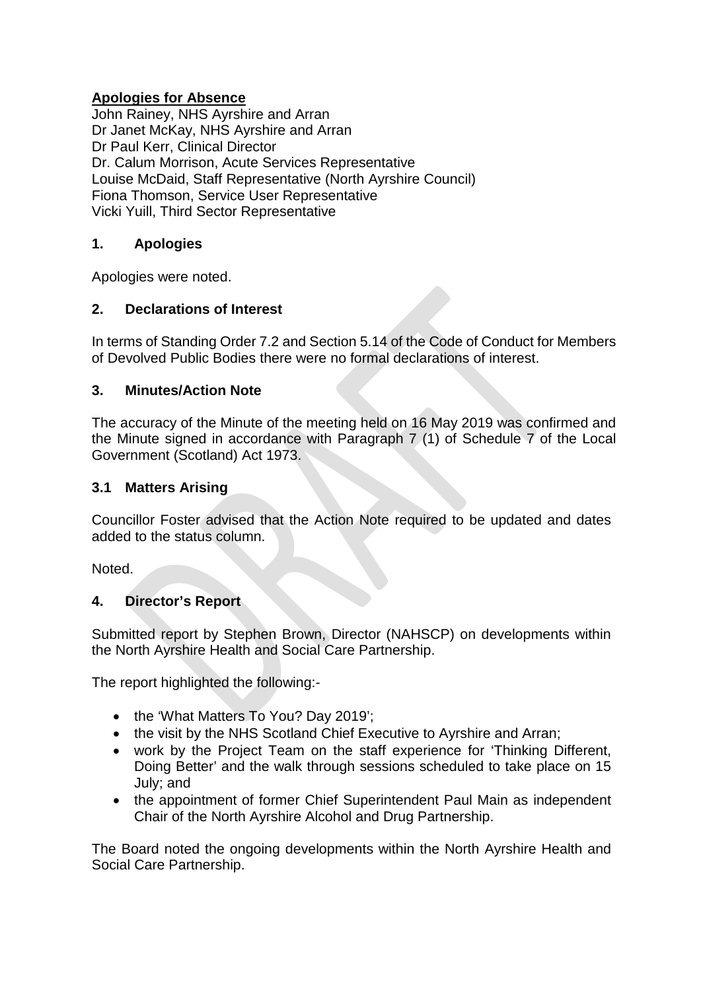## **Apologies for Absence**

John Rainey, NHS Ayrshire and Arran Dr Janet McKay, NHS Ayrshire and Arran Dr Paul Kerr, Clinical Director Dr. Calum Morrison, Acute Services Representative Louise McDaid, Staff Representative (North Ayrshire Council) Fiona Thomson, Service User Representative Vicki Yuill, Third Sector Representative

#### **1. Apologies**

Apologies were noted.

#### **2. Declarations of Interest**

In terms of Standing Order 7.2 and Section 5.14 of the Code of Conduct for Members of Devolved Public Bodies there were no formal declarations of interest.

#### **3. Minutes/Action Note**

The accuracy of the Minute of the meeting held on 16 May 2019 was confirmed and the Minute signed in accordance with Paragraph 7 (1) of Schedule 7 of the Local Government (Scotland) Act 1973.

#### **3.1 Matters Arising**

Councillor Foster advised that the Action Note required to be updated and dates added to the status column.

Noted.

#### **4. Director's Report**

Submitted report by Stephen Brown, Director (NAHSCP) on developments within the North Ayrshire Health and Social Care Partnership.

The report highlighted the following:-

- the 'What Matters To You? Day 2019';
- the visit by the NHS Scotland Chief Executive to Avrshire and Arran:
- work by the Project Team on the staff experience for 'Thinking Different, Doing Better' and the walk through sessions scheduled to take place on 15 July; and
- the appointment of former Chief Superintendent Paul Main as independent Chair of the North Ayrshire Alcohol and Drug Partnership.

The Board noted the ongoing developments within the North Ayrshire Health and Social Care Partnership.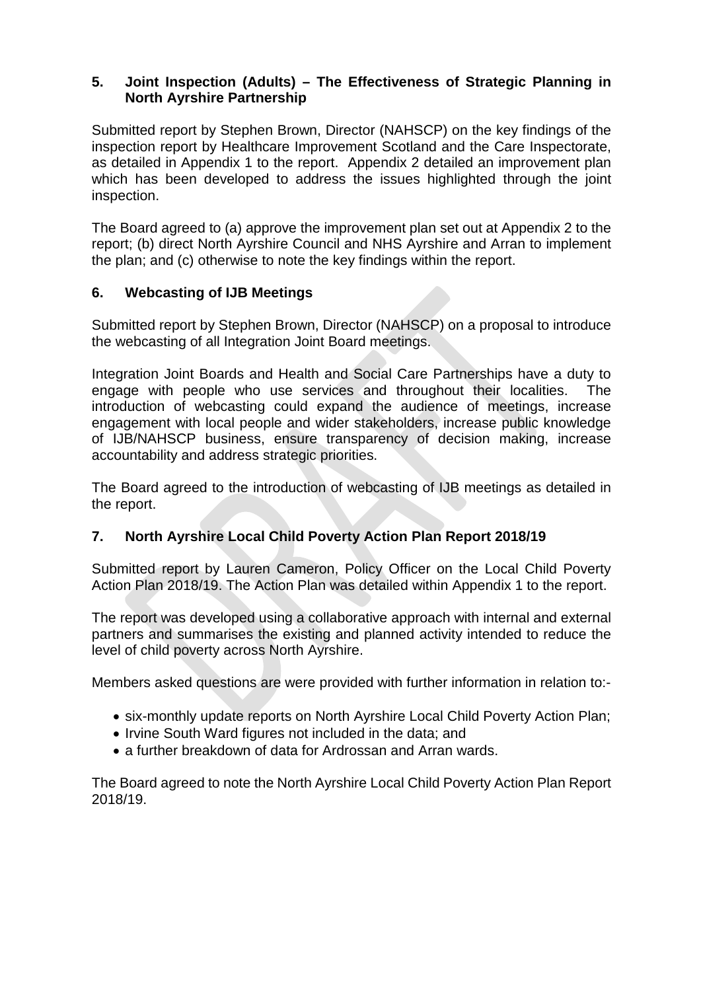## **5. Joint Inspection (Adults) – The Effectiveness of Strategic Planning in North Ayrshire Partnership**

Submitted report by Stephen Brown, Director (NAHSCP) on the key findings of the inspection report by Healthcare Improvement Scotland and the Care Inspectorate, as detailed in Appendix 1 to the report. Appendix 2 detailed an improvement plan which has been developed to address the issues highlighted through the joint inspection.

The Board agreed to (a) approve the improvement plan set out at Appendix 2 to the report; (b) direct North Ayrshire Council and NHS Ayrshire and Arran to implement the plan; and (c) otherwise to note the key findings within the report.

## **6. Webcasting of IJB Meetings**

Submitted report by Stephen Brown, Director (NAHSCP) on a proposal to introduce the webcasting of all Integration Joint Board meetings.

Integration Joint Boards and Health and Social Care Partnerships have a duty to engage with people who use services and throughout their localities. The introduction of webcasting could expand the audience of meetings, increase engagement with local people and wider stakeholders, increase public knowledge of IJB/NAHSCP business, ensure transparency of decision making, increase accountability and address strategic priorities.

The Board agreed to the introduction of webcasting of IJB meetings as detailed in the report.

# **7. North Ayrshire Local Child Poverty Action Plan Report 2018/19**

Submitted report by Lauren Cameron, Policy Officer on the Local Child Poverty Action Plan 2018/19. The Action Plan was detailed within Appendix 1 to the report.

The report was developed using a collaborative approach with internal and external partners and summarises the existing and planned activity intended to reduce the level of child poverty across North Ayrshire.

Members asked questions are were provided with further information in relation to:-

- six-monthly update reports on North Ayrshire Local Child Poverty Action Plan;
- Irvine South Ward figures not included in the data; and
- a further breakdown of data for Ardrossan and Arran wards.

The Board agreed to note the North Ayrshire Local Child Poverty Action Plan Report 2018/19.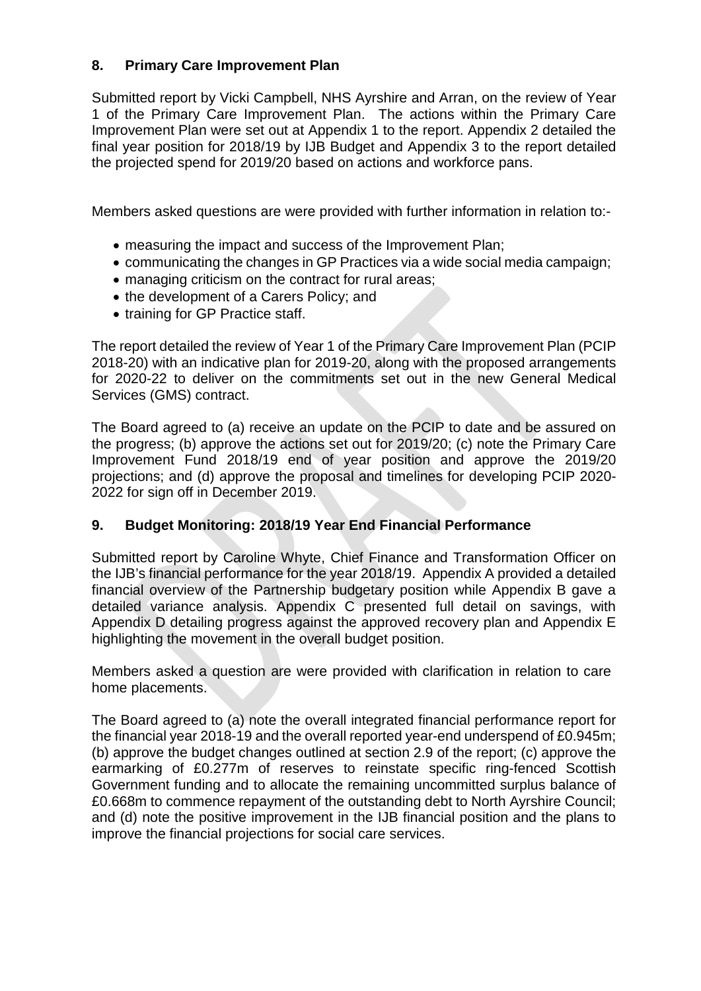## **8. Primary Care Improvement Plan**

Submitted report by Vicki Campbell, NHS Ayrshire and Arran, on the review of Year 1 of the Primary Care Improvement Plan. The actions within the Primary Care Improvement Plan were set out at Appendix 1 to the report. Appendix 2 detailed the final year position for 2018/19 by IJB Budget and Appendix 3 to the report detailed the projected spend for 2019/20 based on actions and workforce pans.

Members asked questions are were provided with further information in relation to:-

- measuring the impact and success of the Improvement Plan;
- communicating the changes in GP Practices via a wide social media campaign;
- managing criticism on the contract for rural areas;
- the development of a Carers Policy; and
- training for GP Practice staff.

The report detailed the review of Year 1 of the Primary Care Improvement Plan (PCIP 2018-20) with an indicative plan for 2019-20, along with the proposed arrangements for 2020-22 to deliver on the commitments set out in the new General Medical Services (GMS) contract.

The Board agreed to (a) receive an update on the PCIP to date and be assured on the progress; (b) approve the actions set out for 2019/20; (c) note the Primary Care Improvement Fund 2018/19 end of year position and approve the 2019/20 projections; and (d) approve the proposal and timelines for developing PCIP 2020- 2022 for sign off in December 2019.

## **9. Budget Monitoring: 2018/19 Year End Financial Performance**

Submitted report by Caroline Whyte, Chief Finance and Transformation Officer on the IJB's financial performance for the year 2018/19. Appendix A provided a detailed financial overview of the Partnership budgetary position while Appendix B gave a detailed variance analysis. Appendix C presented full detail on savings, with Appendix D detailing progress against the approved recovery plan and Appendix E highlighting the movement in the overall budget position.

Members asked a question are were provided with clarification in relation to care home placements.

The Board agreed to (a) note the overall integrated financial performance report for the financial year 2018-19 and the overall reported year-end underspend of £0.945m; (b) approve the budget changes outlined at section 2.9 of the report; (c) approve the earmarking of £0.277m of reserves to reinstate specific ring-fenced Scottish Government funding and to allocate the remaining uncommitted surplus balance of £0.668m to commence repayment of the outstanding debt to North Ayrshire Council; and (d) note the positive improvement in the IJB financial position and the plans to improve the financial projections for social care services.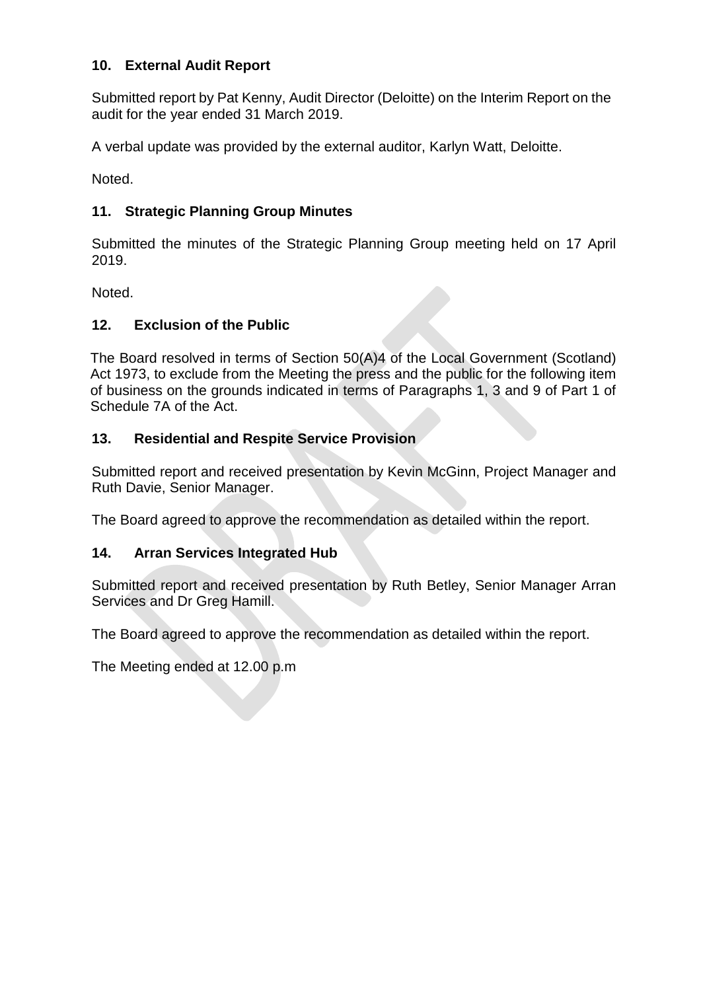## **10. External Audit Report**

Submitted report by Pat Kenny, Audit Director (Deloitte) on the Interim Report on the audit for the year ended 31 March 2019.

A verbal update was provided by the external auditor, Karlyn Watt, Deloitte.

Noted.

# **11. Strategic Planning Group Minutes**

Submitted the minutes of the Strategic Planning Group meeting held on 17 April 2019.

Noted.

# **12. Exclusion of the Public**

The Board resolved in terms of Section 50(A)4 of the Local Government (Scotland) Act 1973, to exclude from the Meeting the press and the public for the following item of business on the grounds indicated in terms of Paragraphs 1, 3 and 9 of Part 1 of Schedule 7A of the Act.

# **13. Residential and Respite Service Provision**

Submitted report and received presentation by Kevin McGinn, Project Manager and Ruth Davie, Senior Manager.

The Board agreed to approve the recommendation as detailed within the report.

## **14. Arran Services Integrated Hub**

Submitted report and received presentation by Ruth Betley, Senior Manager Arran Services and Dr Greg Hamill.

The Board agreed to approve the recommendation as detailed within the report.

The Meeting ended at 12.00 p.m